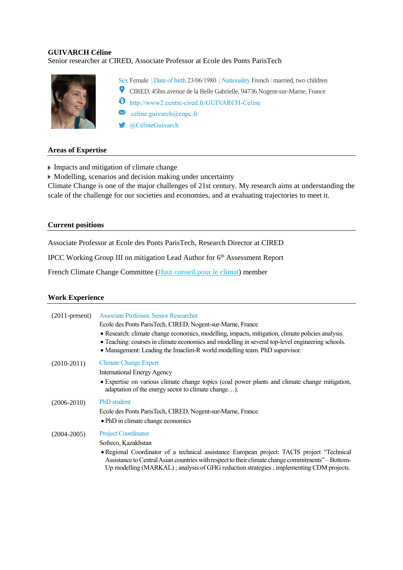# **GUIVARCH Céline**

# Senior researcher at CIRED, Associate Professor at Ecole des Ponts ParisTech



Sex Female | Date of birth 23/06/1980 | Nationality French | married, two children

- CIRED, 45bis avenue de la Belle Gabrielle, 94736 Nogent-sur-Marne, France
- $\bullet$  http://www2.centre-cired.fr/GUIVARCH-Celine
- $\times$ [celine.guivarch@enpc.fr](mailto:guivarch@centre-cired.fr)
- **CelineGuivarch**

### **Areas of Expertise**

- $\blacktriangleright$  Impacts and mitigation of climate change
- $\blacktriangleright$  Modelling, scenarios and decision making under uncertainty

Climate Change is one of the major challenges of 21st century. My research aims at understanding the scale of the challenge for our societies and economies, and at evaluating trajectories to meet it.

### **Current positions**

Associate Professor at Ecole des Ponts ParisTech, Research Director at CIRED

IPCC Working Group III on mitigation Lead Author for 6<sup>th</sup> Assessment Report

French Climate Change Committee [\(Haut conseil pour le climat\)](http://www.hautconseilclimat.fr/) member

### **Work Experience**

| $(2011$ -present) | Associate Professor, Senior Researcher<br>Ecole des Ponts ParisTech, CIRED, Nogent-sur-Marne, France<br>• Research: climate change economics, modelling, impacts, mitigation, climate policies analysis.<br>• Teaching: courses in climate economics and modelling in several top-level engineering schools.<br>• Management: Leading the Imaclim-R world modelling team. PhD supervisor. |
|-------------------|-------------------------------------------------------------------------------------------------------------------------------------------------------------------------------------------------------------------------------------------------------------------------------------------------------------------------------------------------------------------------------------------|
| $(2010-2011)$     | <b>Climate Change Expert</b><br><b>International Energy Agency</b><br>• Expertise on various climate change topics (coal power plants and climate change mitigation,<br>adaptation of the energy sector to climate change).                                                                                                                                                               |
| $(2006 - 2010)$   | <b>PhD</b> student<br>Ecole des Ponts Paris Tech, CIRED, Nogent-sur-Marne, France<br>• PhD in climate change economics                                                                                                                                                                                                                                                                    |
| $(2004 - 2005)$   | <b>Project Coordinator</b><br>Sofreco, Kazakhstan<br>• Regional Coordinator of a technical assistance European project: TACIS project "Technical"<br>Assistance to Central Asian countries with respect to their climate change commitments" – Bottom-<br>Up modelling (MARKAL); analysis of GHG reduction strategies; implementing CDM projects.                                         |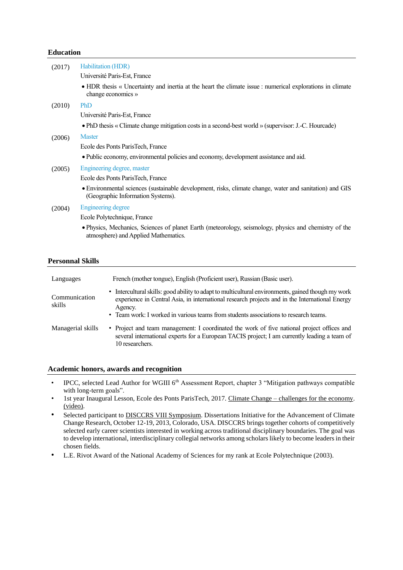### **Education**

| (2017)                  | Habilitation (HDR)                                                                                                                            |  |
|-------------------------|-----------------------------------------------------------------------------------------------------------------------------------------------|--|
|                         | Université Paris-Est, France                                                                                                                  |  |
|                         | • HDR thesis « Uncertainty and inertia at the heart the climate issue : numerical explorations in climate<br>change economics »               |  |
| (2010)                  | PhD                                                                                                                                           |  |
|                         | Université Paris-Est, France                                                                                                                  |  |
|                         | • PhD thesis « Climate change mitigation costs in a second-best world » (supervisor: J.-C. Hourcade)                                          |  |
| (2006)                  | <b>Master</b>                                                                                                                                 |  |
|                         | Ecole des Ponts Paris Tech, France                                                                                                            |  |
|                         | • Public economy, environmental policies and economy, development assistance and aid.                                                         |  |
| (2005)                  | Engineering degree, master                                                                                                                    |  |
|                         | Ecole des Ponts Paris Tech, France                                                                                                            |  |
|                         | • Environmental sciences (sustainable development, risks, climate change, water and sanitation) and GIS<br>(Geographic Information Systems).  |  |
| (2004)                  | <b>Engineering degree</b>                                                                                                                     |  |
|                         | Ecole Polytechnique, France                                                                                                                   |  |
|                         | • Physics, Mechanics, Sciences of planet Earth (meteorology, seismology, physics and chemistry of the<br>atmosphere) and Applied Mathematics. |  |
|                         |                                                                                                                                               |  |
| <b>Personnal Skills</b> |                                                                                                                                               |  |

| Languages               | French (mother tongue), English (Proficient user), Russian (Basic user).                                                                                                                                                                                                                                |
|-------------------------|---------------------------------------------------------------------------------------------------------------------------------------------------------------------------------------------------------------------------------------------------------------------------------------------------------|
| Communication<br>skills | • Intercultural skills: good ability to adapt to multicultural environments, gained though my work<br>experience in Central Asia, in international research projects and in the International Energy<br>Agency.<br>• Team work: I worked in various teams from students associations to research teams. |
| Managerial skills       | • Project and team management: I coordinated the work of five national project offices and<br>several international experts for a European TACIS project; I am currently leading a team of<br>10 researchers.                                                                                           |

### **Academic honors, awards and recognition**

- IPCC, selected Lead Author for WGIII 6<sup>th</sup> Assessment Report, chapter 3 "Mitigation pathways compatible with long-term goals".
- 1st year Inaugural Lesson, Ecole des Ponts ParisTech, 2017. Climate Change [challenges for the economy.](http://www.enpc.fr/3eme-lecon-inaugurale-2017) [\(video\).](http://www.enpc.fr/3eme-lecon-inaugurale-2017)
- Selected participant to **DISCCRS VIII Symposium**. Dissertations Initiative for the Advancement of Climate Change Research, October 12-19, 2013, Colorado, USA. DISCCRS brings together cohorts of competitively selected early career scientists interested in working across traditional disciplinary boundaries. The goal was to develop international, interdisciplinary collegial networks among scholars likely to become leaders in their chosen fields.
- L.E. Rivot Award of the National Academy of Sciences for my rank at Ecole Polytechnique (2003).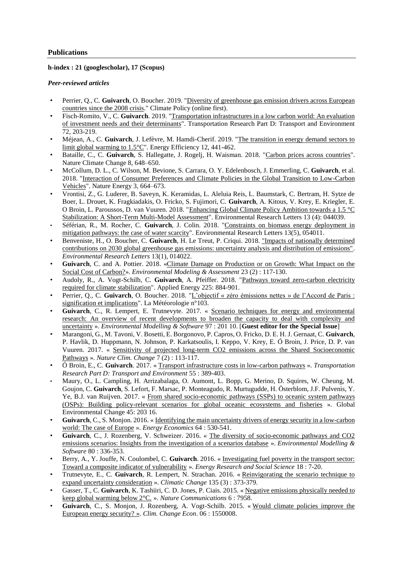### **Publications**

**h-index : 21 (googlescholar), 17 (Scopus)**

#### *Peer-reviewed articles*

- Perrier, Q., C. **Guivarch**, O. Boucher. 2019. ["Diversity of greenhouse gas emission drivers across European](https://doi.org/10.1080/14693062.2019.1625744)  [countries since the 2008 crisis.](https://doi.org/10.1080/14693062.2019.1625744)" Climate Policy (online first).
- Fisch-Romito, V., C. **Guivarch**. 2019. ["Transportation infrastructures in a low carbon world: An evaluation](https://doi.org/10.1016/j.trd.2019.04.014)  [of investment needs and their determinants"](https://doi.org/10.1016/j.trd.2019.04.014). Transportation Research Part D: Transport and Environment 72, 203-219.
- Méjean, A., C. **Guivarch**, J. Lefèvre, M. Hamdi-Cherif. 2019. ["The transition in energy demand sectors to](https://rdcu.be/UyE7)  [limit global warming to 1.5°C"](https://rdcu.be/UyE7). Energy Efficiency 12, 441-462.
- Bataille, C., C. **Guivarch**, S. Hallegatte, J. Rogelj, H. Waisman. 2018. ["Carbon prices across countries"](https://www.nature.com/articles/s41558-018-0239-1.epdf?shared_access_token=nlHB9zmcH0xnkXWM80r2_dRgN0jAjWel9jnR3ZoTv0Px9T-JzameoEyI1zmVaR0_JsCXtaJTpgYilTEon2FHudW6lpiA0bJIpgW0OzZqbKVcrs5jS0cmaD62RGxQwOQ7q_hpBnKNyT4eMQWB9dv5qhEuPAJsh1GVEjmqfuK_gX8%3D). Nature Climate Change 8, 648–650.
- McCollum, D. L., C. Wilson, M. Bevione, S. Carrara, O. Y. Edelenbosch, J. Emmerling, C. **Guivarch**, et al. 2018. ["Interaction of Consumer Preferences and Climate Policies in the Global Transition to Low-Carbon](https://doi.org/10.1038/s41560-018-0195-z)  [Vehicles"](https://doi.org/10.1038/s41560-018-0195-z). Nature Energy 3, 664–673.
- Vrontisi, Z., G. Luderer, B. Saveyn, K. Keramidas, L. Aleluia Reis, L. Baumstark, C. Bertram, H. Sytze de Boer, L. Drouet, K. Fragkiadakis, O. Fricko, S. Fujimori, C. **Guivarch**, A. Kitous, V. Krey, E. Kriegler, E. O Broin, L. Paroussos, D. van Vuuren. 2018. ["Enhancing Global Climate Policy Ambition towards a 1.5 °C](https://doi.org/10.1088/1748-9326/aab53e)  [Stabilization: A Short-Term Multi-Model Assessment"](https://doi.org/10.1088/1748-9326/aab53e). Environmental Research Letters 13 (4): 044039.
- Séférian, R., M. Rocher, C. **Guivarch**, J. Colin. 2018. ["Constraints on biomass energy deployment in](https://doi.org/10.1088/1748-9326/aabcd7)  [mitigation pathways: the case of water scarcity"](https://doi.org/10.1088/1748-9326/aabcd7). Environmental Research Letters 13(5), 054011.
- Benveniste, H., O. Boucher, C. **Guivarch**, H. Le Treut, P. Criqui. 2018. ["Impacts of nationally determined](http://iopscience.iop.org/article/10.1088/1748-9326/aaa0b9)  [contributions on 2030 global greenhouse gas emissions: uncertainty analysis and distribution of emissions".](http://iopscience.iop.org/article/10.1088/1748-9326/aaa0b9) *Environmental Research Letters* 13(1), 014022.
- **Guivarch**, C. and A. Pottier. 2018. [«Climate Damage on Production or on Growth: What Impact on the](https://doi.org/10.1007/s10666-017-9572-4)  [Social Cost of Carbon?»](https://doi.org/10.1007/s10666-017-9572-4). *Environmental Modeling & Assessment* 23 (2) : 117-130.
- Audoly, R., A. Vogt-Schilb, C. **Guivarch**, A. Pfeiffer. 2018. ["Pathways toward zero-carbon electricity](https://doi.org/10.1016/j.apenergy.2018.05.026)  [required for climate stabilization"](https://doi.org/10.1016/j.apenergy.2018.05.026). Applied Energy 225: 884-901.
- Perrier, Q., C. **Guivarch**, O. Boucher. 2018. ["L'objectif « zéro émissions nettes » de l'Accord de Paris :](https://doi.org/10.4267/2042/68784)  [signification et implications"](https://doi.org/10.4267/2042/68784). La Météorologie n°103.
- **Guivarch**, C., R. Lempert, E. Trutnevyte. 2017. « [Scenario techniques for energy and environmental](https://doi.org/10.1016/j.envsoft.2017.07.017)  [research: An overview of recent developments to broaden the capacity to deal with complexity and](https://doi.org/10.1016/j.envsoft.2017.07.017)  [uncertainty](https://doi.org/10.1016/j.envsoft.2017.07.017) ». *Environmental Modelling & Software* 97 : 201 10. [**Guest editor for the Special Issue**]
- Marangoni, G., M. Tavoni, V. Bosetti, E. Borgonovo, P. Capros, O. Fricko, D. E. H. J. Gernaat, C. **Guivarch**, P. Havlik, D. Huppmann, N. Johnson, P. Karkatsoulis, I. Keppo, V. Krey, E. Ó Broin, J. Price, D. P. van Vuuren. 2017. « [Sensitivity of projected long-term CO2 emissions across the Shared Socioeconomic](http://rdcu.be/oAfZ)  [Pathways](http://rdcu.be/oAfZ) ». *Nature Clim. Change* 7 (2) : 113-117.
- Ó Broin, E., C. **Guivarch**. 2017. « [Transport infrastructure costs in low-carbon pathways](http://dx.doi.org/10.1016/j.trd.2016.11.002) ». *Transportation Research Part D: Transport and Environment* 55 : 389-403.
- Maury, O., L. Campling, H. Arrizabalaga, O. Aumont, L. Bopp, G. Merino, D. Squires, W. Cheung, M. Goujon, C. **Guivarch**, S. Lefort, F. Marsac, P. Monteagudo, R. Murtugudde, H. Österblom, J.F. Pulvenis, Y. Ye, B.J. van Ruijven. 2017. « [From shared socio-economic pathways \(SSPs\) to oceanic system pathways](http://www.sciencedirect.com/science/article/pii/S0959378016306343)  [\(OSPs\): Building policy-relevant scenarios for global oceanic ecosystems and fisheries](http://www.sciencedirect.com/science/article/pii/S0959378016306343) ». Global Environmental Change 45: 203 16.
- **Guivarch**, C., S. Monjon. 2016. « [Identifying the main uncertainty drivers of energy security in a low-carbon](http://dx.doi.org/10.1016/j.eneco.2016.04.007)  [world: The case of Europe](http://dx.doi.org/10.1016/j.eneco.2016.04.007) ». *Energy Economics* 64 : 530-541.
- **Guivarch**, C., J. Rozenberg, V. Schweizer. 2016. « [The diversity of socio-economic pathways and CO2](http://www.sciencedirect.com/science/article/pii/S1364815216300706)  [emissions scenarios: Insights from the investigation of a scenarios database](http://www.sciencedirect.com/science/article/pii/S1364815216300706) ». *Environmental Modelling & Software* 80 : 336-353.
- Berry, A., Y. Jouffe, N. Coulombel, C. **Guivarch**. 2016. « [Investigating fuel poverty in the transport sector:](http://www.sciencedirect.com/science/article/pii/S2214629616300123)  [Toward a composite indicator of vulnerability](http://www.sciencedirect.com/science/article/pii/S2214629616300123) ». *Energy Research and Social Science* 18 : 7-20.
- Trutnevyte, E., C. **Guivarch**, R. Lempert, N. Strachan. 2016. « [Reinvigorating the scenario technique to](http://link.springer.com/article/10.1007/s10584-015-1585-x)  [expand uncertainty consideration](http://link.springer.com/article/10.1007/s10584-015-1585-x) ». *Climatic Change* 135 (3) : 373-379.
- Gasser, T., C. **Guivarch**, K. Tashiiri, C. D. Jones, P. Ciais. 2015. « [Negative emissions physically needed to](http://www.nature.com/ncomms/2015/150803/ncomms8958/full/ncomms8958.html)  [keep global warming below 2°C.](http://www.nature.com/ncomms/2015/150803/ncomms8958/full/ncomms8958.html) ». *Nature Communications* 6 : 7958.
- **Guivarch**, C., S. Monjon, J. Rozenberg, A. Vogt-Schilb. 2015. « [Would climate policies improve the](http://www.worldscientific.com/doi/abs/10.1142/S2010007815500086)  [European energy security?](http://www.worldscientific.com/doi/abs/10.1142/S2010007815500086) ». *Clim. Change Econ*. 06 : 1550008.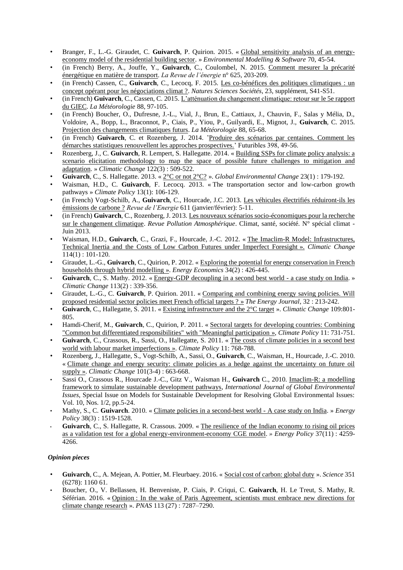- Branger, F., L.-G. Giraudet, C. **Guivarch**, P. Quirion. 2015. « [Global sensitivity analysis of an energy](http://www.sciencedirect.com/science/article/pii/S1364815215001097)[economy model of the residential building sector.](http://www.sciencedirect.com/science/article/pii/S1364815215001097) » *Environmental Modelling & Software* 70, 45-54.
- (in French) Berry, A., Jouffe, Y., **Guivarch**, C., Coulombel, N. 2015. [Comment mesurer la précarité](https://www.academia.edu/13893572/Comment_mesurer_la_pr%C3%A9carit%C3%A9_%C3%A9nerg%C3%A9tique_en_mati%C3%A8re_de_transport)  [énergétique en matière de transport.](https://www.academia.edu/13893572/Comment_mesurer_la_pr%C3%A9carit%C3%A9_%C3%A9nerg%C3%A9tique_en_mati%C3%A8re_de_transport) *La Revue de l'énergie* n° 625, 203-209.
- (in French) Cassen, C., **Guivarch**, C., Lecocq, F. 2015. [Les co-bénéfices des politiques climatiques : un](http://www.nss-journal.org/articles/nss/abs/2015/02/nss150017/nss150017.html)  [concept opérant pour les négociations climat ?.](http://www.nss-journal.org/articles/nss/abs/2015/02/nss150017/nss150017.html) *Natures Sciences Sociétés*, 23, supplément, S41-S51.
- (in French) **Guivarch**, C., Cassen, C. 2015[. L'atténuation du changement climatique: retour sur](http://documents.irevues.inist.fr/bitstream/handle/2042/56365/meteo_2015_88_97.pdf?sequence=1) le 5e rapport [du GIEC.](http://documents.irevues.inist.fr/bitstream/handle/2042/56365/meteo_2015_88_97.pdf?sequence=1) *La Météorologie* 88, 97-105.
- (in French) Boucher, O., Dufresne, J.-L., Vial, J., Brun, E., Cattiaux, J., Chauvin, F., Salas y Mélia, D., Voldoire, A., Bopp, L., Braconnot, P., Ciais, P., Yiou, P., Guilyardi, E., Mignot, J., **Guivarch**, C. 2015. [Projection des changements climatiques futurs.](http://documents.irevues.inist.fr/bitstream/handle/2042/56362/meteo_2015_88_56.pdf?sequence=1) *La Météorologie* 88, 65-68.
- (in French) **Guivarch**, C. et Rozenberg, J. 2014. ['Produire des scénarios par centaines. Comment les](http://www.futuribles.com/fr/base/document/produire-des-scenarios-par-centaines/)  [démarches statistiques renouvellent les approches prospectives.'](http://www.futuribles.com/fr/base/document/produire-des-scenarios-par-centaines/) Futuribles 398, 49-56.
- Rozenberg, J., C. **Guivarch**, R. Lempert, S. Hallegatte. 2014. « [Building SSPs for climate policy analysis: a](http://link.springer.com.gate3.inist.fr/article/10.1007%2Fs10584-013-0904-3)  [scenario elicitation methodology to map the space of possible future challenges to mitigation and](http://link.springer.com.gate3.inist.fr/article/10.1007%2Fs10584-013-0904-3)  [adaptation.](http://link.springer.com.gate3.inist.fr/article/10.1007%2Fs10584-013-0904-3) » *Climatic Change* 122(3) : 509-522.
- **Guivarch**, C., S. Hallegatte. 2013. « [2°C or not 2°C?](http://dx.doi.org/10.1016/j.gloenvcha.2012.10.006) ». *Global Environmental Change* 23(1) : 179-192.
- Waisman, H.D., C. **Guivarch**, F. Lecocq. 2013. « The transportation sector and low-carbon growth pathways » *Climate Policy* 13(1): 106-129.
- (in French) Vogt-Schilb, A., **Guivarch**, C., Hourcade, J.C. 2013. [Les véhicules électrifiés réduiront-ils les](http://hal.archives-ouvertes.fr/hal-00786749/)  [émissions de carbone ?](http://hal.archives-ouvertes.fr/hal-00786749/) *Revue de l'Energie* 611 (janvier/février): 5-11.
- (in French) **Guivarch**, C., Rozenberg, J. 2013. [Les nouveaux scénarios socio-économiques pour la recherche](http://halshs.archives-ouvertes.fr/docs/01/05/37/30/PDF/Guivarch-scenarios_socio-economiques-pre-print.pdf)  [sur le changement climatique.](http://halshs.archives-ouvertes.fr/docs/01/05/37/30/PDF/Guivarch-scenarios_socio-economiques-pre-print.pdf) *Revue Pollution Atmosphérique*. Climat, santé, société. N° spécial climat - Juin 2013.
- Waisman, H.D., **Guivarch**, C., Grazi, F., Hourcade, J.-C. 2012. « [The Imaclim-R Model: Infrastructures,](http://www.springerlink.com/content/22jk123872580154/)  [Technical Inertia and the Costs of Low Carbon Futures under Imperfect Foresight](http://www.springerlink.com/content/22jk123872580154/) ». *Climatic Change* 114(1) : 101-120.
- Giraudet, L.-G., **Guivarch**, C., Quirion, P. 2012. « [Exploring the potential for energy conservation in French](http://www.sciencedirect.com/science/article/pii/S014098831100140X)  [households through hybrid modelling](http://www.sciencedirect.com/science/article/pii/S014098831100140X) ». *Energy Economics* 34(2) : 426-445.
- **Guivarch**, C., S. Mathy. 2012. « [Energy-GDP decoupling in a second best world -](http://www.springerlink.com/content/9857j62t2m386m2t/) a case study on India. » *Climatic Change* 113(2) : 339-356.
- Giraudet, L.-G., C. **Guivarch**, P. Quirion. 2011. « [Comparing and combining energy saving policies. Will](http://www.iaee.org/en/publications/ejarticle.aspx?id=2462)  [proposed residential sector policies meet French official targets ?](http://www.iaee.org/en/publications/ejarticle.aspx?id=2462) » *The Energy Journal*, 32 : 213-242.
- **Guivarch**, C., Hallegatte, S. 2011. « [Existing infrastructure and the 2°C target](http://www.springerlink.com/content/6156718537v34m41/) ». *Climatic Change* 109:801- 805.
- Hamdi-Cherif, M., **Guivarch**, C., Quirion, P. 2011. « [Sectoral targets for developing countries: Combining](http://www.tandfonline.com/doi/abs/10.3763/cpol.2009.0070)  ["Common but differentiated responsibilities" with "Meaningful participation](http://www.tandfonline.com/doi/abs/10.3763/cpol.2009.0070) », *Climate Policy* 11: 731-751.
- **Guivarch**, C., Crassous, R., Sassi, O., Hallegatte, S. 2011. « [The costs of climate policies in a second best](http://www.tandfonline.com/doi/abs/10.3763/cpol.2009.0012)  [world with labour market imperfections](http://www.tandfonline.com/doi/abs/10.3763/cpol.2009.0012) ». *Climate Policy* 11: 768-788.
- Rozenberg, J., Hallegatte, S., Vogt-Schilb, A., Sassi, O., **Guivarch**, C., Waisman, H., Hourcade, J.-C. 2010. « [Climate change and energy security: climate policies as a hedge against the uncertainty on future oil](http://www.springerlink.com/content/u45p6385t6xj8711/)  [supply](http://www.springerlink.com/content/u45p6385t6xj8711/) ». *Climatic Change* 101(3-4) : 663-668.
- Sassi O., Crassous R., Hourcade J.-C., Gitz V., Waisman H., **Guivarch** C., 2010. [Imaclim-R: a modelling](http://inderscience.metapress.com/content/e81p5m067q218t62/)  [framework to simulate sustainable development pathways,](http://inderscience.metapress.com/content/e81p5m067q218t62/) *International Journal of Global Environmental Issues*, Special Issue on Models for Sustainable Development for Resolving Global Environmental Issues: Vol. 10, Nos. 1/2, pp.5-24.
- Mathy, S., C. **Guivarch**. 2010. « [Climate policies in a second-best world -](http://www.sciencedirect.com/science/article/pii/S0301421509008842) A case study on India. » *Energy Policy* 38(3) : 1519-1528.
- **Guivarch**, C., S. Hallegatte, R. Crassous. 2009. « [The resilience of the Indian economy to rising oil prices](http://www.sciencedirect.com/science/article/pii/S0301421509003784)  [as a validation test for a global energy-environment-economy CGE model.](http://www.sciencedirect.com/science/article/pii/S0301421509003784) *» Energy Policy* 37(11) : 4259- 4266.

### *Opinion pieces*

- **Guivarch**, C., A. Mejean, A. Pottier, M. Fleurbaey. 2016. « [Social cost of carbon: global duty](http://science.sciencemag.org/content/351/6278/1160.2.abstract) ». *Science* 351 (6278): 1160 61.
- Boucher, O., V. Bellassen, H. Benveniste, P. Ciais, P. Criqui, C. **Guivarch**, H. Le Treut, S. Mathy, R. Séférian. 2016. « Opinion [: In the wake of Paris Agreement, scientists must embrace new directions for](http://www.pnas.org/content/113/27/7287.full)  [climate change research](http://www.pnas.org/content/113/27/7287.full) ». *PNAS* 113 (27) : 7287–7290.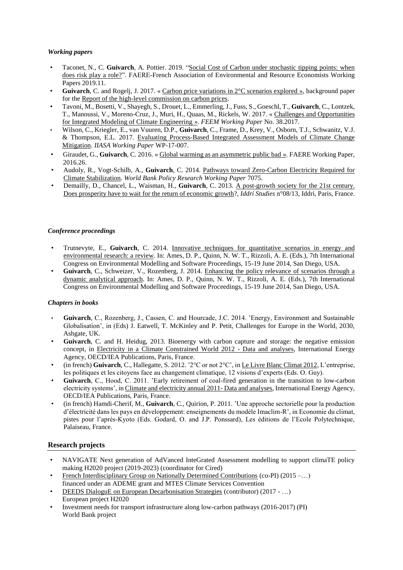#### *Working papers*

- Taconet, N., C. **Guivarch**, A. Pottier. 2019. ["Social Cost of Carbon under stochastic tipping points: when](https://ideas.repec.org/p/fae/wpaper/2019.11.html)  [does risk play a role?"](https://ideas.repec.org/p/fae/wpaper/2019.11.html). FAERE-French Association of Environmental and Resource Economists Working Papers 2019.11.
- Guivarch, C. and Rogelj, J. 2017. « Carbon price variations in  $2^{\circ}$ C scenarios explored », background paper for the [Report of the high-level commission on carbon prices.](https://www.carbonpricingleadership.org/report-of-the-highlevel-commission-on-carbon-prices/)
- Tavoni, M., Bosetti, V., Shayegh, S., Drouet, L., Emmerling, J., Fuss, S., Goeschl, T., **Guivarch**, C., Lontzek, T., Manoussi, V., Moreno-Cruz, J., Muri, H., Quaas, M., Rickels, W. 2017. « [Challenges and Opportunities](https://ssrn.com/abstract=3035166)  [for Integrated Modeling of Climate Engineering](https://ssrn.com/abstract=3035166) ». *FEEM Working Paper* No. 38.2017.
- Wilson, C., Kriegler, E., van Vuuren, D.P., **Guivarch**, C., Frame, D., Krey, V., Osborn, T.J., Schwanitz, V.J. & Thompson, E.L. 2017. [Evaluating Process-Based Integrated Assessment Models of Climate Change](http://pure.iiasa.ac.at/14502/1/WP-17-007.pdf)  [Mitigation.](http://pure.iiasa.ac.at/14502/1/WP-17-007.pdf) *IIASA Working Paper* WP-17-007.
- Giraudet, G., **Guivarch**, C. 2016. « [Global warming as an asymmetric public bad](http://faere.fr/pub/WorkingPapers/Giraudet_Guivarch_FAERE_WP2016.26.pdf) ». FAERE Working Paper, 2016.26.
- Audoly, R., Vogt-Schilb, A., **Guivarch**, C. 2014. [Pathways toward Zero-Carbon Electricity Required for](http://www-wds.worldbank.org/external/default/WDSContentServer/WDSP/IB/2014/10/27/000158349_20141027142212/Rendered/PDF/WPS7075.pdf)  [Climate Stabilization.](http://www-wds.worldbank.org/external/default/WDSContentServer/WDSP/IB/2014/10/27/000158349_20141027142212/Rendered/PDF/WPS7075.pdf) *World Bank Policy Research Working Paper* 7075.
- Demailly, D., Chancel, L., Waisman, H., **Guivarch**, C. 2013. [A post-growth society for the 21st century.](http://www.iddri.org/Publications/Collections/Analyses/Study0813_DD%20et%20al._post-growth%20society.pdf)  [Does prosperity have to wait for the return of economic growth?](http://www.iddri.org/Publications/Collections/Analyses/Study0813_DD%20et%20al._post-growth%20society.pdf), *Iddri Studies* n°08/13, Iddri, Paris, France.

#### *Conference proceedings*

- Trutnevyte, E., **Guivarch**, C. 2014. [Innovative techniques for quantitative scenarios in energy and](http://www.iemss.org/sites/iemss2014/papers/iemss2014_submission_38.pdf)  [environmental research: a review.](http://www.iemss.org/sites/iemss2014/papers/iemss2014_submission_38.pdf) In: Ames, D. P., Quinn, N. W. T., Rizzoli, A. E. (Eds.), 7th International Congress on Environmental Modelling and Software Proceedings, 15-19 June 2014, San Diego, USA.
- **Guivarch**, C., Schweizer, V., Rozenberg, J. 2014. [Enhancing the policy relevance of scenarios through a](http://www.iemss.org/sites/iemss2014/papers/iemss2014_submission_57.pdf)  [dynamic analytical approach.](http://www.iemss.org/sites/iemss2014/papers/iemss2014_submission_57.pdf) In: Ames, D. P., Quinn, N. W. T., Rizzoli, A. E. (Eds.), 7th International Congress on Environmental Modelling and Software Proceedings, 15-19 June 2014, San Diego, USA.

#### *Chapters in books*

- **Guivarch**, C., Rozenberg, J., Cassen, C. and Hourcade, J.C. 2014. 'Energy, Environment and Sustainable Globalisation', in (Eds) J. Eatwell, T. McKinley and P. Petit, Challenges for Europe in the World, 2030, Ashgate, UK.
- **Guivarch**, C. and H. Heidug, 2013. Bioenergy with carbon capture and storage: the negative emission concept, in [Electricity in a Climate Constrained World 2012 -](http://www.iea.org/publications/freepublications/publication/ElecClimate2012_free.pdf) Data and analyses, International Energy Agency, OECD/IEA Publications, Paris, France.
- (in french) **Guivarch**, C., Hallegatte, S. 2012. '2°C or not 2°C', i[n Le Livre Blanc Climat 2012,](http://climat2012.fr/) L'entreprise, les politiques et les citoyens face au changement climatique, 12 visions d'experts (Eds. O. Guy).
- **Guivarch**, C., Hood, C. 2011. 'Early retirement of coal-fired generation in the transition to low-carbon electricity systems', in [Climate and electricity annual 2011-](http://www.iea.org/publications/freepublications/publication/Climate_Electricity_Annual2011.pdf) Data and analyses, International Energy Agency, OECD/IEA Publications, Paris, France.
- (in french) Hamdi-Cherif, M., **Guivarch**, C., Quirion, P. 2011. 'Une approche sectorielle pour la production d'électricité dans les pays en développement: enseignements du modèle Imaclim-R', in Economie du climat, pistes pour l'après-Kyoto (Eds. Godard, O. and J.P. Ponssard), Les éditions de l'Ecole Polytechnique, Palaiseau, France.

#### **Research projects**

- NAVIGATE Next generation of AdVanced InteGrated Assessment modelling to support climaTE policy making H2020 project (2019-2023) (coordinator for Cired)
- [French Interdisciplinary Group on Nationally Determined Contributions](http://icmc.ipsl.fr/images/publications/scientific_notes/GICN_working_paper2.pdf) (co-PI) (2015 –…) financed under an ADEME grant and MTES Climate Services Convention
- [DEEDS DialoguE on European Decarbonisation Strategies](https://deeds.eu/) (contributor) (2017 …) European project H2020
- Investment needs for transport infrastructure along low-carbon pathways (2016-2017) (PI) World Bank project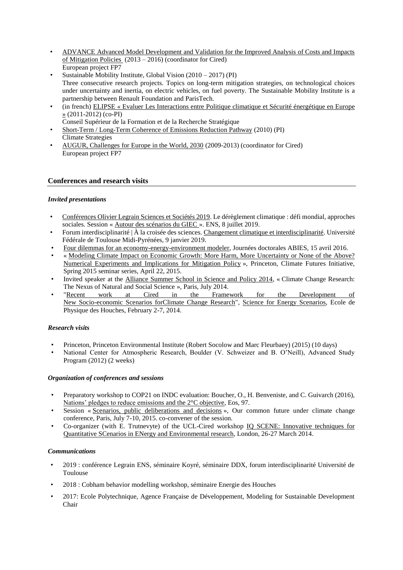- [ADVANCE Advanced Model Development and Validation for the Improved Analysis of Costs and Impacts](http://www.fp7-advance.eu/)  [of Mitigation Policies](http://www.fp7-advance.eu/) (2013 – 2016) (coordinator for Cired) European project FP7
- Sustainable Mobility Institute, Global Vision (2010 2017) (PI) Three consecutive research projects. Topics on long-term mitigation strategies, on technological choices under uncertainty and inertia, on electric vehicles, on fuel poverty. The Sustainable Mobility Institute is a partnership between Renault Foundation and ParisTech.
- (in french) [ELIPSE « Evaluer Les Interactions entre Politique climatique et Sécurité énergétique en Europe](https://halshs.archives-ouvertes.fr/halshs-00800492/document)  [»](https://halshs.archives-ouvertes.fr/halshs-00800492/document) (2011-2012) (co-PI)
- Conseil Supérieur de la Formation et de la Recherche Stratégique
- [Short-Term / Long-Term Coherence of Emissions Reduction Pathway](http://www.climatestrategies.org/research/our-reports/category/57/323.html) (2010) (PI) Climate Strategies
- [AUGUR, Challenges for Europe in the World, 2030](http://augurproject.eu/) (2009-2013) (coordinator for Cired) European project FP7

### **Conferences and research visits**

### *Invited presentations*

- [Conférences Olivier Legrain Sciences et Sociétés 2019.](https://www.ens.fr/agenda/conferences-olivier-legrain-sciences-et-societes-2019/2019-07-08t120000) Le dérèglement climatique : défi mondial, approches sociales. Session « [Autour des scénarios du GIEC](https://www.youtube.com/watch?v=jt9WczWnfbA) ». ENS, 8 juillet 2019.
- Forum interdisciplinarité | À la croisée des sciences. [Changement climatique et interdisciplinarité.](https://prismes.univ-toulouse.fr/player.php?code=Ri4RVWX4&width=100%25&height=100%25) Université Fédérale de Toulouse Midi-Pyrénées, 9 janvier 2019.
- [Four dilemmas for an economy-energy-environment modeler,](http://www2.centre-cired.fr/IMG/pdf/four_dilemmas.pdf) Journées doctorales ABIES, 15 avril 2016.
- « [Modeling Climate Impact on Economic Growth: More Harm, More Uncertainty or None of the Above?](http://scholar.princeton.edu/cfi/cfi-spring-2015-seminar-series)  [Numerical Experiments and Implications for Mitigation Policy](http://scholar.princeton.edu/cfi/cfi-spring-2015-seminar-series) », Princeton, Climate Futures Initiative, Spring 2015 seminar series, April 22, 2015.
- Invited speaker at the [Alliance Summer School in Science and Policy 2014,](http://www.columbia.edu/~jw3144/summerschool.html) « Climate Change Research: The Nexus of Natural and Social Science », Paris, July 2014.
- ["Recent work at Cired in the Framework for the Development of](http://science-and-energy.org/wp-content/uploads/2014/02/28-slides_guivarch_lesHouches.pdf) [New Socio-economic Scenarios forClimate Change Research"](http://science-and-energy.org/wp-content/uploads/2014/02/28-slides_guivarch_lesHouches.pdf), [Science for Energy Scenarios,](http://science-and-energy.org/) Ecole de Physique des Houches, February 2-7, 2014.

### *Research visits*

- Princeton, Princeton Environmental Institute (Robert Socolow and Marc Fleurbaey) (2015) (10 days)
- National Center for Atmospheric Research, Boulder (V. Schweizer and B. O'Neill), Advanced Study Program (2012) (2 weeks)

#### *Organization of conferences and sessions*

- Preparatory workshop to COP21 on INDC evaluation: Boucher, O., H. Benveniste, and C. Guivarch (2016), [Nations' pledges to reduce emissions and the 2°C objective,](https://eos.org/meeting-reports/nations-pledges-to-reduce-emissions-and-the-2c-objective) Eos, 97.
- Session « [Scenarios, public deliberations and decisions](http://fr.slideshare.net/celine_guivarch/session-scenarios-and-decisions-ocf-conference-merged-presentations-52238468) », Our common future under climate change conference, Paris, July 7-10, 2015. co-convener of the session.
- Co-organizer (with E. Trutnevyte) of the UCL-Cired workshop [IQ SCENE: Innovative techniques for](http://www.wholesem.ac.uk/iq-scene/iq-scene)  [Quantitative SCenarios in ENergy and Environmental research,](http://www.wholesem.ac.uk/iq-scene/iq-scene) London, 26-27 March 2014.

#### *Communications*

- 2019 : conférence Legrain ENS, séminaire Koyré, séminaire DDX, forum interdisciplinarité Université de Toulouse
- 2018 : Cobham behavior modelling workshop, séminaire Energie des Houches
- 2017: Ecole Polytechnique, Agence Française de Développement, Modeling for Sustainable Development Chair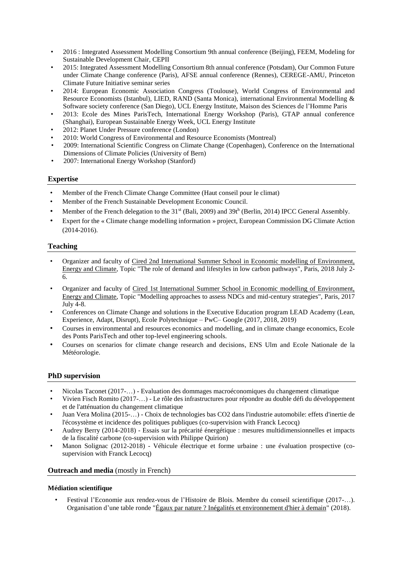- 2016 : Integrated Assessment Modelling Consortium 9th annual conference (Beijing), FEEM, Modeling for Sustainable Development Chair, CEPII
- 2015: Integrated Assessment Modelling Consortium 8th annual conference (Potsdam), Our Common Future under Climate Change conference (Paris), AFSE annual conference (Rennes), CEREGE-AMU, Princeton Climate Future Initiative seminar series
- 2014: European Economic Association Congress (Toulouse), World Congress of Environmental and Resource Economists (Istanbul), LIED, RAND (Santa Monica), international Environmental Modelling & Software society conference (San Diego), UCL Energy Institute, Maison des Sciences de l'Homme Paris
- 2013: Ecole des Mines ParisTech, International Energy Workshop (Paris), GTAP annual conference (Shanghai), European Sustainable Energy Week, UCL Energy Institute
- 2012: Planet Under Pressure conference (London)
- 2010: World Congress of Environmental and Resource Economists (Montreal)
- 2009: International Scientific Congress on Climate Change (Copenhagen), Conference on the International Dimensions of Climate Policies (University of Bern)
- 2007: International Energy Workshop (Stanford)

### **Expertise**

- Member of the French Climate Change Committee (Haut conseil pour le climat)
- Member of the French Sustainable Development Economic Council.
- Member of the French delegation to the 31<sup>st</sup> (Bali, 2009) and 39th (Berlin, 2014) IPCC General Assembly.
- Expert for the « Climate change modelling information » project, European Commission DG Climate Action (2014-2016).

### **Teaching**

- Organizer and faculty of [Cired 2nd International Summer School in](http://www2.centre-cired.fr/international-summer-school?lang=en) Economic modelling of Environment, [Energy and Climate,](http://www2.centre-cired.fr/international-summer-school?lang=en) Topic "The role of demand and lifestyles in low carbon pathways", Paris, 2018 July 2- 6.
- Organizer and faculty of [Cired 1st International Summer School in Economic modelling of Environment,](http://www2.centre-cired.fr/international-summer-school?lang=en)  [Energy and Climate,](http://www2.centre-cired.fr/international-summer-school?lang=en) Topic "Modelling approaches to assess NDCs and mid-century strategies", Paris, 2017 July 4-8.
- Conferences on Climate Change and solutions in the Executive Education program LEAD Academy (Lean, Experience, Adapt, Disrupt), Ecole Polytechnique – PwC– Google (2017, 2018, 2019)
- Courses in environmental and resources economics and modelling, and in climate change economics, Ecole des Ponts ParisTech and other top-level engineering schools.
- Courses on scenarios for climate change research and decisions, ENS Ulm and Ecole Nationale de la Météorologie.

### **PhD supervision**

- Nicolas Taconet (2017-…) Evaluation des dommages macroéconomiques du changement climatique
- Vivien Fisch Romito (2017-…) Le rôle des infrastructures pour répondre au double défi du développement et de l'atténuation du changement climatique
- Juan Vera Molina (2015-…) Choix de technologies bas CO2 dans l'industrie automobile: effets d'inertie de l'écosystème et incidence des politiques publiques (co-supervision with Franck Lecocq)
- Audrey Berry (2014-2018) Essais sur la précarité énergétique : mesures multidimensionnelles et impacts de la fiscalité carbone (co-supervision with Philippe Quirion)
- Manon Solignac (2012-2018) Véhicule électrique et forme urbaine : une évaluation prospective (cosupervision with Franck Lecocq)

### **Outreach and media** (mostly in French)

#### **Médiation scientifique**

• Festival l'Economie aux rendez-vous de l'Histoire de Blois. Membre du conseil scientifique (2017-…). Organisation d'une table ronde ["Égaux par nature ? Inégalités et environnement d'hier à demain"](http://www.rdv-histoire.com/edition-2018-la-puissance-des-images/egaux-par-nature-inegalites-et-environnement-d-hier-demain) (2018).